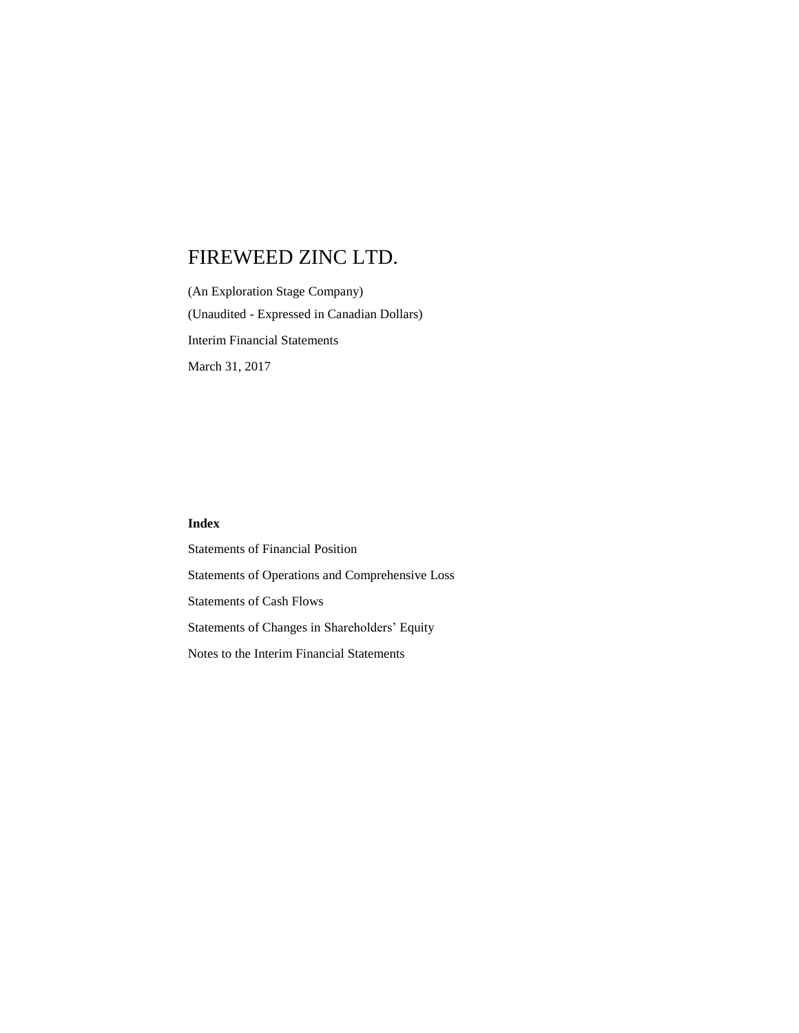(An Exploration Stage Company) (Unaudited - Expressed in Canadian Dollars) Interim Financial Statements March 31, 2017

## **Index**

Statements of Financial Position Statements of Operations and Comprehensive Loss Statements of Cash Flows Statements of Changes in Shareholders' Equity Notes to the Interim Financial Statements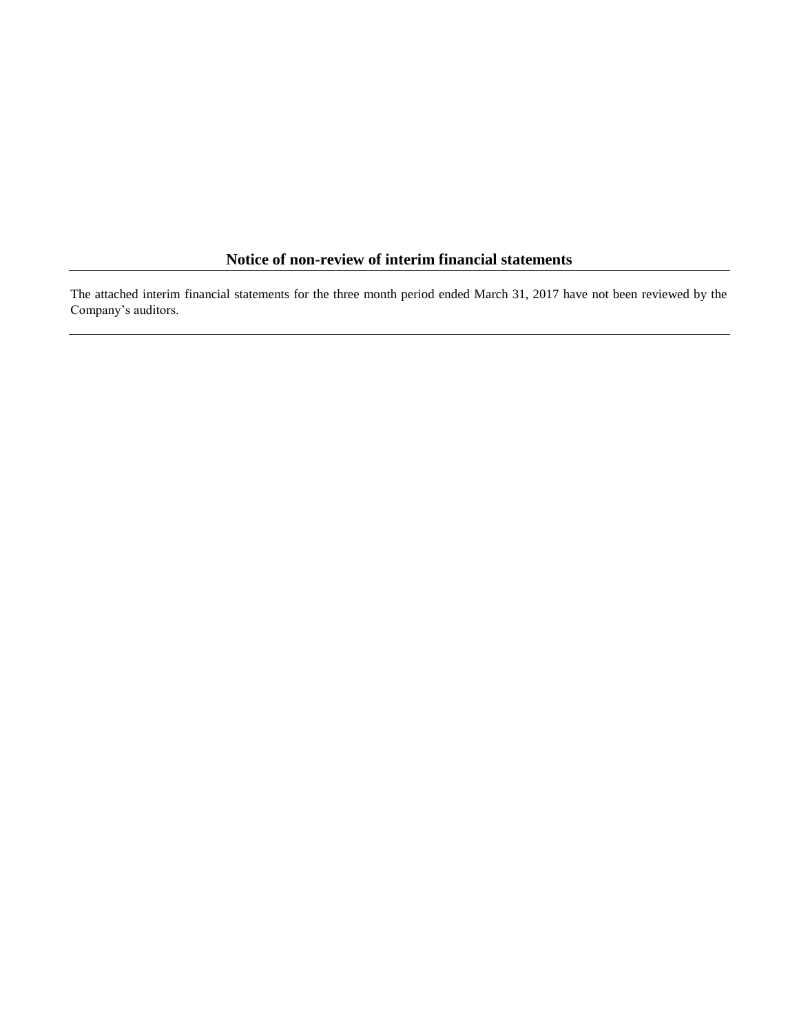## **Notice of non-review of interim financial statements**

The attached interim financial statements for the three month period ended March 31, 2017 have not been reviewed by the Company's auditors.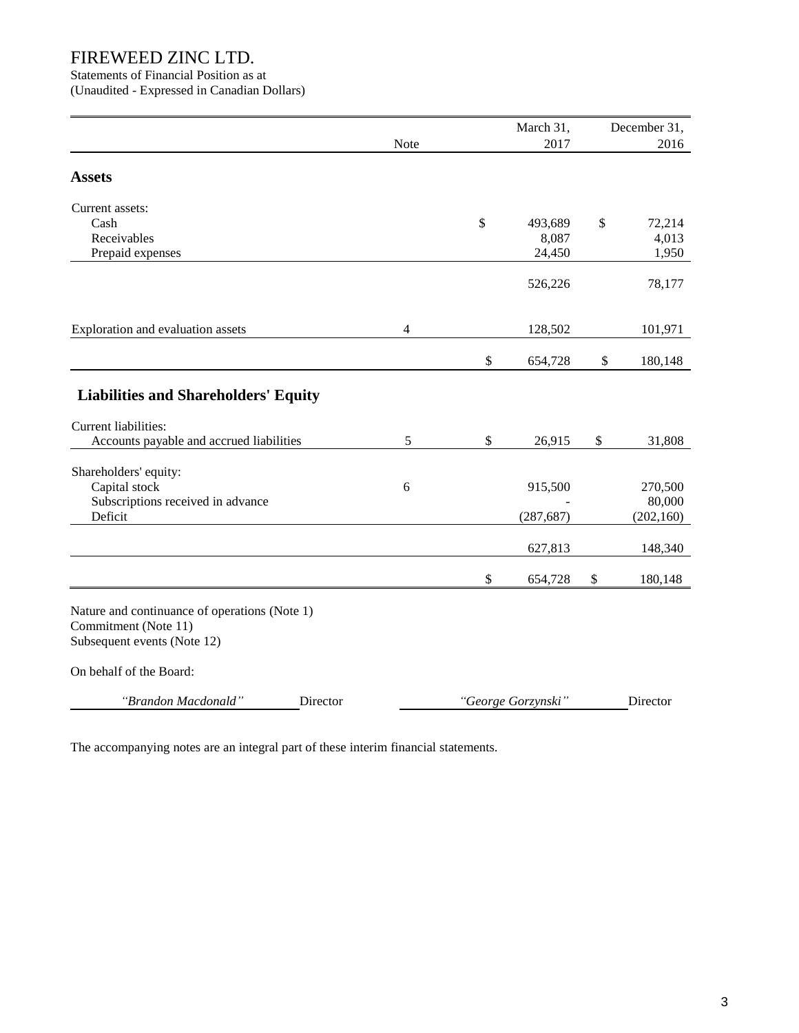Statements of Financial Position as at (Unaudited - Expressed in Canadian Dollars)

|                                                                                                                                 |      |              | March 31,                  | December 31,                    |
|---------------------------------------------------------------------------------------------------------------------------------|------|--------------|----------------------------|---------------------------------|
|                                                                                                                                 | Note |              | 2017                       | 2016                            |
| <b>Assets</b>                                                                                                                   |      |              |                            |                                 |
| Current assets:<br>Cash<br>Receivables<br>Prepaid expenses                                                                      |      | \$           | 493,689<br>8,087<br>24,450 | \$<br>72,214<br>4,013<br>1,950  |
|                                                                                                                                 |      |              | 526,226                    | 78,177                          |
| Exploration and evaluation assets                                                                                               | 4    |              | 128,502                    | 101,971                         |
|                                                                                                                                 |      | $\mathbb{S}$ | 654,728                    | \$<br>180,148                   |
| <b>Liabilities and Shareholders' Equity</b>                                                                                     |      |              |                            |                                 |
| Current liabilities:<br>Accounts payable and accrued liabilities                                                                | 5    | $\mathbb{S}$ | 26,915                     | \$<br>31,808                    |
| Shareholders' equity:<br>Capital stock<br>Subscriptions received in advance<br>Deficit                                          | 6    |              | 915,500<br>(287, 687)      | 270,500<br>80,000<br>(202, 160) |
|                                                                                                                                 |      |              | 627,813                    | 148,340                         |
|                                                                                                                                 |      | \$           | 654,728                    | \$<br>180,148                   |
| Nature and continuance of operations (Note 1)<br>Commitment (Note 11)<br>Subsequent events (Note 12)<br>On behalf of the Board: |      |              |                            |                                 |
| "Brandon Macdonald"<br>Director                                                                                                 |      |              | "George Gorzynski"         | Director                        |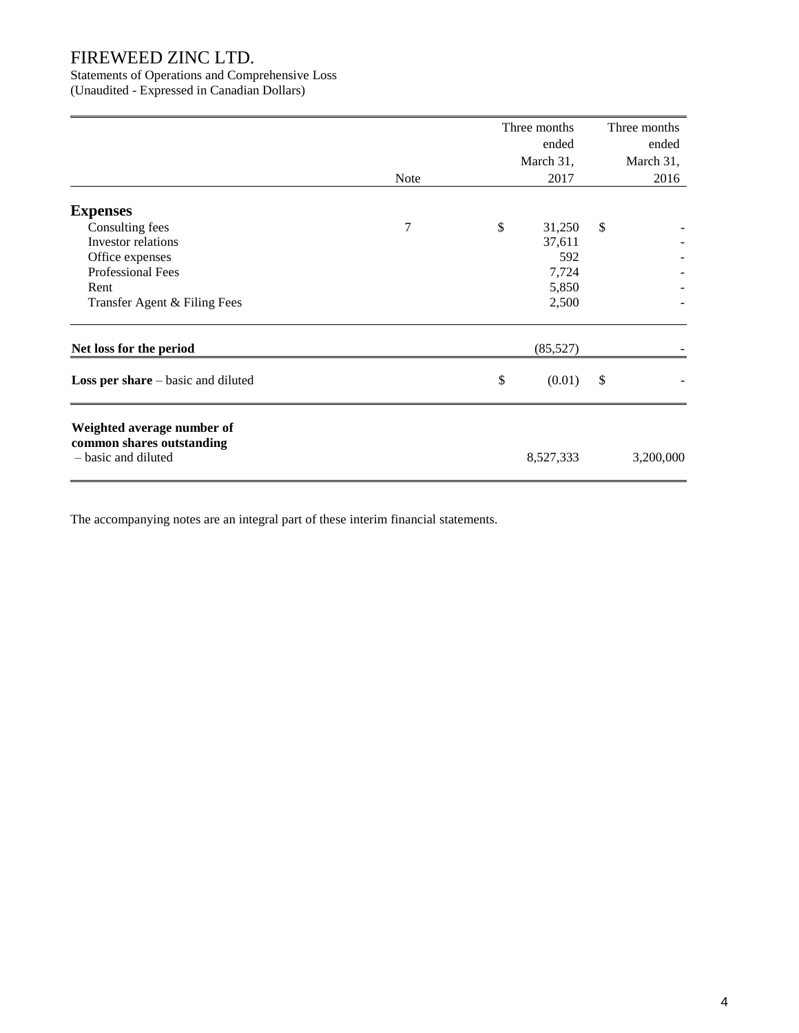Statements of Operations and Comprehensive Loss

(Unaudited - Expressed in Canadian Dollars)

|                                                                                |             | Three months<br>ended | Three months<br>ended |
|--------------------------------------------------------------------------------|-------------|-----------------------|-----------------------|
|                                                                                |             | March 31,             | March 31,             |
|                                                                                | <b>Note</b> | 2017                  | 2016                  |
| <b>Expenses</b>                                                                |             |                       |                       |
| Consulting fees                                                                | 7           | \$<br>31,250          | \$                    |
| Investor relations                                                             |             | 37,611<br>592         |                       |
| Office expenses<br><b>Professional Fees</b>                                    |             | 7,724                 |                       |
| Rent                                                                           |             | 5,850                 |                       |
| Transfer Agent & Filing Fees                                                   |             | 2,500                 |                       |
| Net loss for the period                                                        |             | (85,527)              |                       |
| Loss per share – basic and diluted                                             |             | \$<br>(0.01)          | \$                    |
| Weighted average number of<br>common shares outstanding<br>- basic and diluted |             | 8,527,333             | 3,200,000             |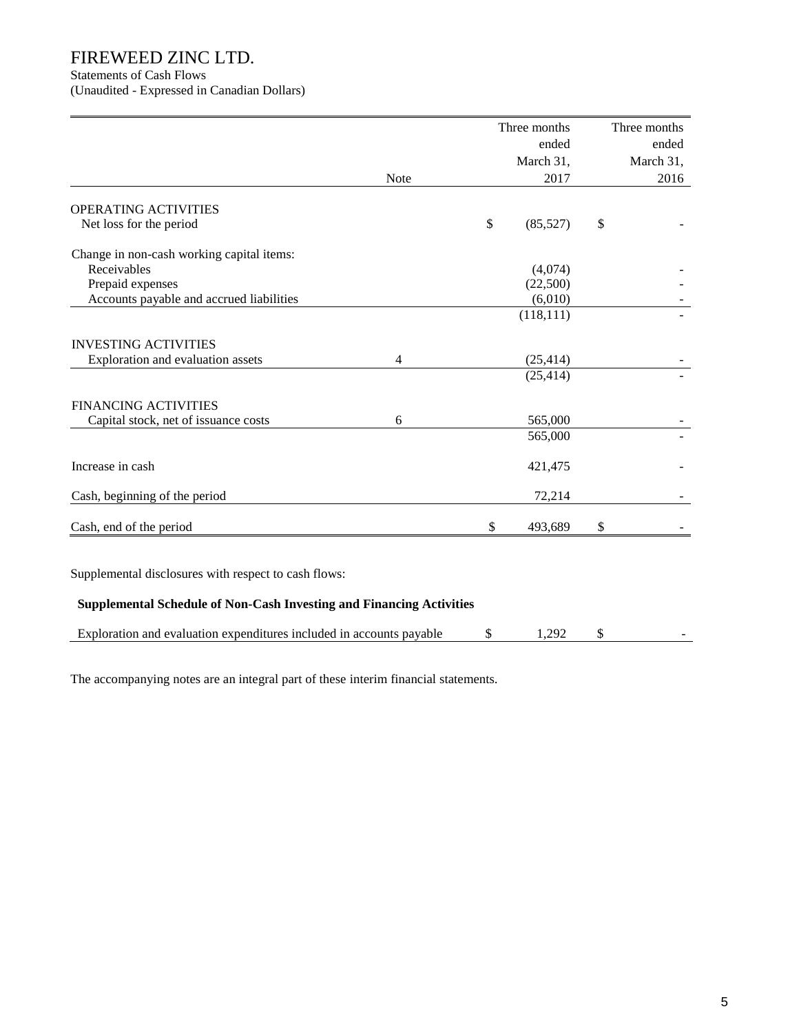Statements of Cash Flows

(Unaudited - Expressed in Canadian Dollars)

|                                                                      |                | Three months   | Three months |
|----------------------------------------------------------------------|----------------|----------------|--------------|
|                                                                      |                | ended          | ended        |
|                                                                      |                | March 31,      | March 31,    |
|                                                                      | Note           | 2017           | 2016         |
| OPERATING ACTIVITIES                                                 |                |                |              |
| Net loss for the period                                              |                | \$<br>(85,527) | \$           |
| Change in non-cash working capital items:                            |                |                |              |
| Receivables                                                          |                | (4,074)        |              |
| Prepaid expenses                                                     |                | (22,500)       |              |
| Accounts payable and accrued liabilities                             |                | (6,010)        |              |
|                                                                      |                | (118, 111)     |              |
| <b>INVESTING ACTIVITIES</b>                                          |                |                |              |
| Exploration and evaluation assets                                    | $\overline{4}$ | (25, 414)      |              |
|                                                                      |                | (25, 414)      |              |
| <b>FINANCING ACTIVITIES</b>                                          |                |                |              |
| Capital stock, net of issuance costs                                 | 6              | 565,000        |              |
|                                                                      |                | 565,000        |              |
| Increase in cash                                                     |                | 421,475        |              |
| Cash, beginning of the period                                        |                | 72,214         |              |
| Cash, end of the period                                              |                | \$<br>493,689  | \$           |
|                                                                      |                |                |              |
| Supplemental disclosures with respect to cash flows:                 |                |                |              |
| Supplemental Schedule of Non-Cash Investing and Financing Activities |                |                |              |
| Exploration and evaluation expenditures included in accounts payable |                | \$<br>1,292    | \$           |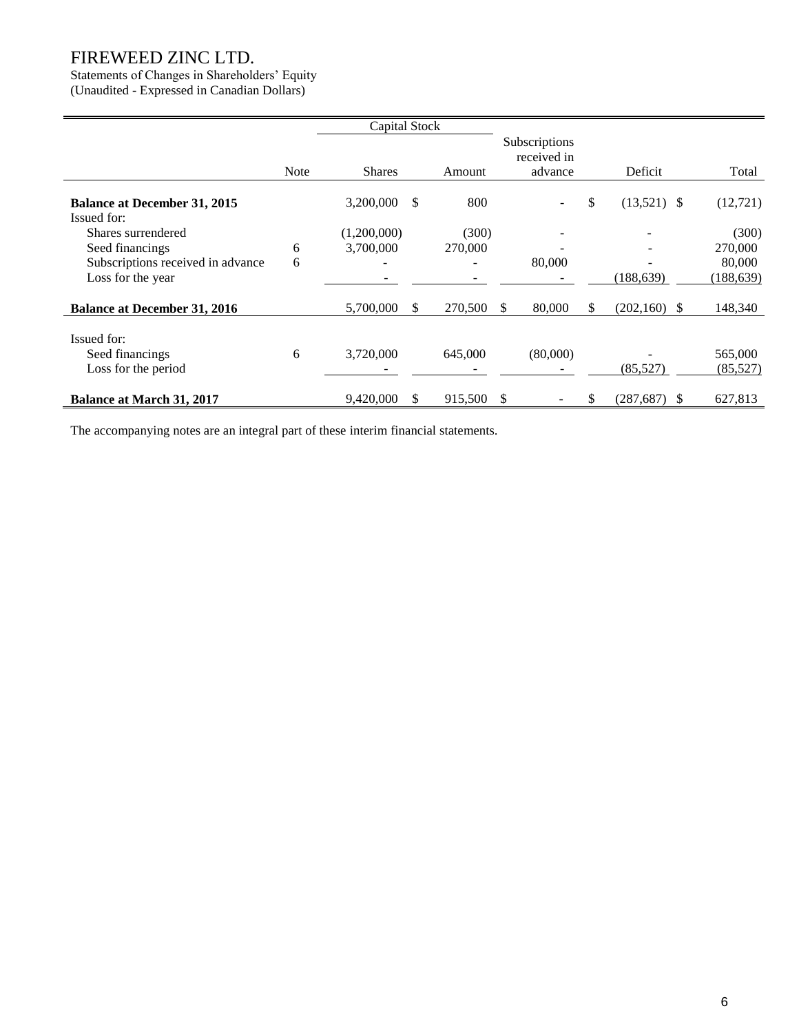## Statements of Changes in Shareholders' Equity

(Unaudited - Expressed in Canadian Dollars)

|                                     |             | Capital Stock |     |         |              |                              |                      |            |
|-------------------------------------|-------------|---------------|-----|---------|--------------|------------------------------|----------------------|------------|
|                                     |             |               |     |         |              | Subscriptions<br>received in |                      |            |
|                                     | <b>Note</b> | <b>Shares</b> |     | Amount  |              | advance                      | Deficit              | Total      |
| <b>Balance at December 31, 2015</b> |             | 3,200,000     | \$. | 800     |              |                              | \$<br>$(13,521)$ \$  | (12, 721)  |
| Issued for:<br>Shares surrendered   |             | (1,200,000)   |     | (300)   |              |                              |                      | (300)      |
| Seed financings                     | 6           | 3,700,000     |     | 270,000 |              |                              |                      | 270,000    |
| Subscriptions received in advance   | 6           |               |     |         |              | 80,000                       |                      | 80,000     |
| Loss for the year                   |             |               |     |         |              |                              | (188, 639)           | (188, 639) |
| <b>Balance at December 31, 2016</b> |             | 5,700,000     | S.  | 270,500 | S.           | 80,000                       | \$<br>$(202,160)$ \$ | 148,340    |
| Issued for:                         |             |               |     |         |              |                              |                      |            |
| Seed financings                     | 6           | 3,720,000     |     | 645,000 |              | (80,000)                     |                      | 565,000    |
| Loss for the period                 |             |               |     |         |              |                              | (85,527)             | (85,527)   |
| <b>Balance at March 31, 2017</b>    |             | 9,420,000     | \$  | 915,500 | <sup>S</sup> |                              | \$<br>$(287,687)$ \$ | 627,813    |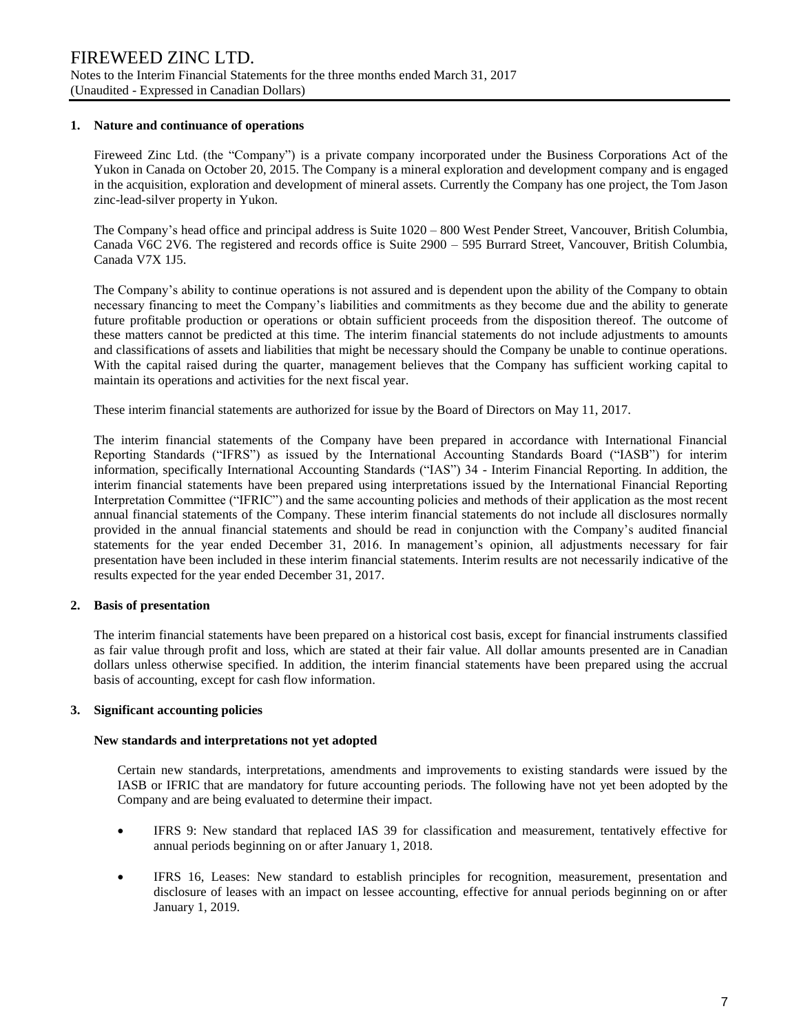#### **1. Nature and continuance of operations**

Fireweed Zinc Ltd. (the "Company") is a private company incorporated under the Business Corporations Act of the Yukon in Canada on October 20, 2015. The Company is a mineral exploration and development company and is engaged in the acquisition, exploration and development of mineral assets. Currently the Company has one project, the Tom Jason zinc-lead-silver property in Yukon.

The Company's head office and principal address is Suite 1020 – 800 West Pender Street, Vancouver, British Columbia, Canada V6C 2V6. The registered and records office is Suite 2900 – 595 Burrard Street, Vancouver, British Columbia, Canada V7X 1J5.

The Company's ability to continue operations is not assured and is dependent upon the ability of the Company to obtain necessary financing to meet the Company's liabilities and commitments as they become due and the ability to generate future profitable production or operations or obtain sufficient proceeds from the disposition thereof. The outcome of these matters cannot be predicted at this time. The interim financial statements do not include adjustments to amounts and classifications of assets and liabilities that might be necessary should the Company be unable to continue operations. With the capital raised during the quarter, management believes that the Company has sufficient working capital to maintain its operations and activities for the next fiscal year.

These interim financial statements are authorized for issue by the Board of Directors on May 11, 2017.

The interim financial statements of the Company have been prepared in accordance with International Financial Reporting Standards ("IFRS") as issued by the International Accounting Standards Board ("IASB") for interim information, specifically International Accounting Standards ("IAS") 34 - Interim Financial Reporting. In addition, the interim financial statements have been prepared using interpretations issued by the International Financial Reporting Interpretation Committee ("IFRIC") and the same accounting policies and methods of their application as the most recent annual financial statements of the Company. These interim financial statements do not include all disclosures normally provided in the annual financial statements and should be read in conjunction with the Company's audited financial statements for the year ended December 31, 2016. In management's opinion, all adjustments necessary for fair presentation have been included in these interim financial statements. Interim results are not necessarily indicative of the results expected for the year ended December 31, 2017.

## **2. Basis of presentation**

The interim financial statements have been prepared on a historical cost basis, except for financial instruments classified as fair value through profit and loss, which are stated at their fair value. All dollar amounts presented are in Canadian dollars unless otherwise specified. In addition, the interim financial statements have been prepared using the accrual basis of accounting, except for cash flow information.

#### **3. Significant accounting policies**

#### **New standards and interpretations not yet adopted**

Certain new standards, interpretations, amendments and improvements to existing standards were issued by the IASB or IFRIC that are mandatory for future accounting periods. The following have not yet been adopted by the Company and are being evaluated to determine their impact.

- IFRS 9: New standard that replaced IAS 39 for classification and measurement, tentatively effective for annual periods beginning on or after January 1, 2018.
- IFRS 16, Leases: New standard to establish principles for recognition, measurement, presentation and disclosure of leases with an impact on lessee accounting, effective for annual periods beginning on or after January 1, 2019.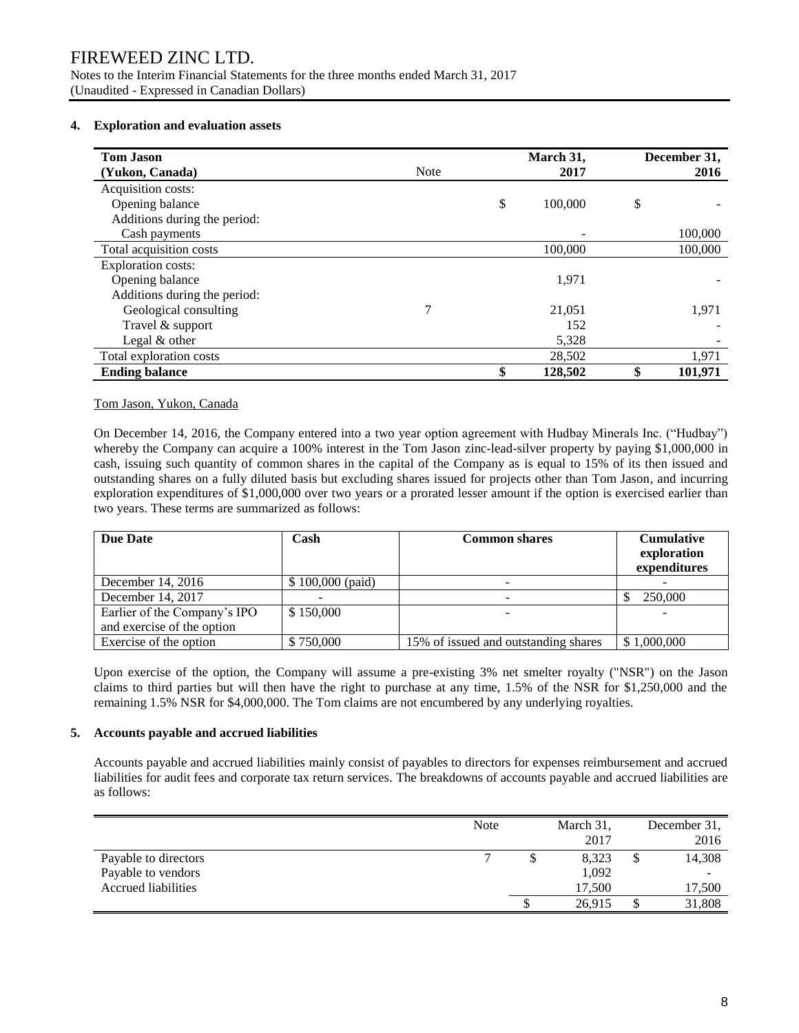Notes to the Interim Financial Statements for the three months ended March 31, 2017 (Unaudited - Expressed in Canadian Dollars)

### **4. Exploration and evaluation assets**

| <b>Tom Jason</b><br>(Yukon, Canada) | <b>Note</b> | March 31,<br>2017 | December 31,<br>2016 |
|-------------------------------------|-------------|-------------------|----------------------|
| Acquisition costs:                  |             |                   |                      |
| Opening balance                     |             | \$<br>100,000     | \$                   |
| Additions during the period:        |             |                   |                      |
| Cash payments                       |             |                   | 100,000              |
| Total acquisition costs             |             | 100,000           | 100,000              |
| Exploration costs:                  |             |                   |                      |
| Opening balance                     |             | 1,971             |                      |
| Additions during the period:        |             |                   |                      |
| Geological consulting               | 7           | 21,051            | 1,971                |
| Travel & support                    |             | 152               |                      |
| Legal & other                       |             | 5,328             |                      |
| Total exploration costs             |             | 28,502            | 1,971                |
| <b>Ending balance</b>               |             | \$<br>128,502     | \$<br>101,971        |

#### Tom Jason, Yukon, Canada

On December 14, 2016, the Company entered into a two year option agreement with Hudbay Minerals Inc. ("Hudbay") whereby the Company can acquire a 100% interest in the Tom Jason zinc-lead-silver property by paying \$1,000,000 in cash, issuing such quantity of common shares in the capital of the Company as is equal to 15% of its then issued and outstanding shares on a fully diluted basis but excluding shares issued for projects other than Tom Jason, and incurring exploration expenditures of \$1,000,000 over two years or a prorated lesser amount if the option is exercised earlier than two years. These terms are summarized as follows:

| <b>Due Date</b>                                            | Cash              | <b>Common shares</b>                 | <b>Cumulative</b><br>exploration<br>expenditures |
|------------------------------------------------------------|-------------------|--------------------------------------|--------------------------------------------------|
| December 14, $2016$                                        | $$100,000$ (paid) | -                                    |                                                  |
| December 14, 2017                                          |                   |                                      | 250,000                                          |
| Earlier of the Company's IPO<br>and exercise of the option | \$150,000         |                                      |                                                  |
| Exercise of the option                                     | \$750,000         | 15% of issued and outstanding shares | \$1,000,000                                      |

Upon exercise of the option, the Company will assume a pre-existing 3% net smelter royalty ("NSR") on the Jason claims to third parties but will then have the right to purchase at any time, 1.5% of the NSR for \$1,250,000 and the remaining 1.5% NSR for \$4,000,000. The Tom claims are not encumbered by any underlying royalties.

## **5. Accounts payable and accrued liabilities**

Accounts payable and accrued liabilities mainly consist of payables to directors for expenses reimbursement and accrued liabilities for audit fees and corporate tax return services. The breakdowns of accounts payable and accrued liabilities are as follows:

|                            | <b>Note</b> | March 31, |   | December 31,             |
|----------------------------|-------------|-----------|---|--------------------------|
|                            |             | 2017      |   | 2016                     |
| Payable to directors       | −           | 8,323     | Φ | 14,308                   |
| Payable to vendors         |             | 1,092     |   | $\overline{\phantom{a}}$ |
| <b>Accrued liabilities</b> |             | 17,500    |   | 17,500                   |
|                            |             | 26,915    |   | 31,808                   |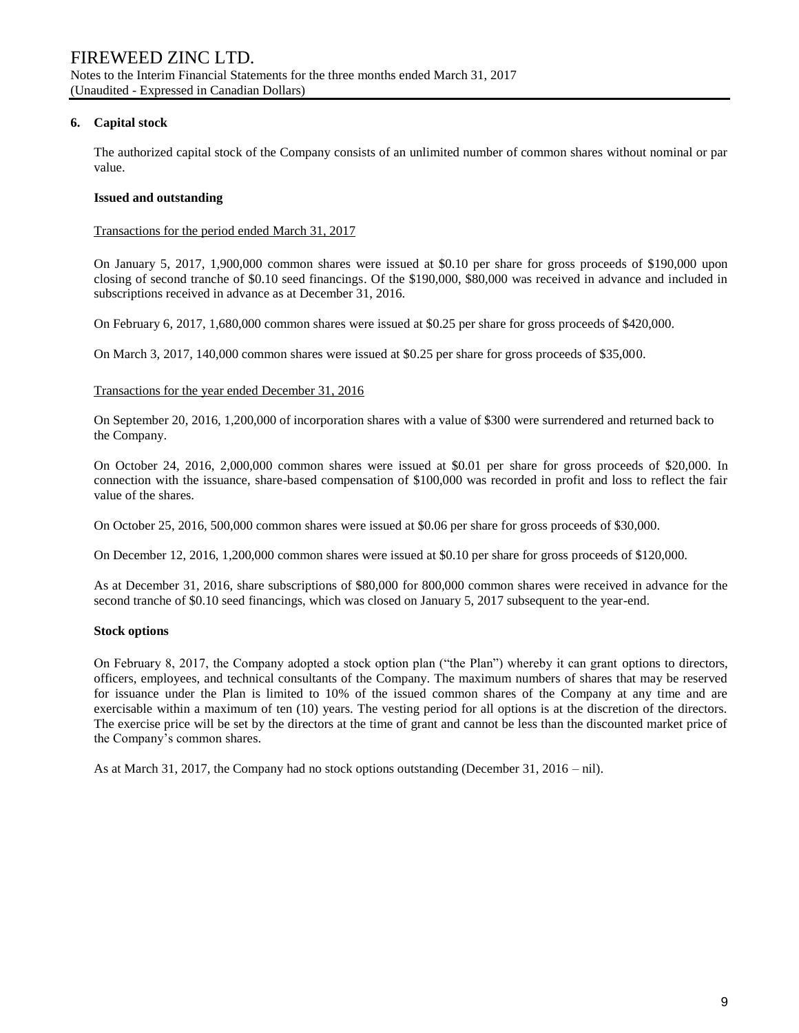## **6. Capital stock**

The authorized capital stock of the Company consists of an unlimited number of common shares without nominal or par value.

## **Issued and outstanding**

### Transactions for the period ended March 31, 2017

On January 5, 2017, 1,900,000 common shares were issued at \$0.10 per share for gross proceeds of \$190,000 upon closing of second tranche of \$0.10 seed financings. Of the \$190,000, \$80,000 was received in advance and included in subscriptions received in advance as at December 31, 2016.

On February 6, 2017, 1,680,000 common shares were issued at \$0.25 per share for gross proceeds of \$420,000.

On March 3, 2017, 140,000 common shares were issued at \$0.25 per share for gross proceeds of \$35,000.

#### Transactions for the year ended December 31, 2016

On September 20, 2016, 1,200,000 of incorporation shares with a value of \$300 were surrendered and returned back to the Company.

On October 24, 2016, 2,000,000 common shares were issued at \$0.01 per share for gross proceeds of \$20,000. In connection with the issuance, share-based compensation of \$100,000 was recorded in profit and loss to reflect the fair value of the shares.

On October 25, 2016, 500,000 common shares were issued at \$0.06 per share for gross proceeds of \$30,000.

On December 12, 2016, 1,200,000 common shares were issued at \$0.10 per share for gross proceeds of \$120,000.

As at December 31, 2016, share subscriptions of \$80,000 for 800,000 common shares were received in advance for the second tranche of \$0.10 seed financings, which was closed on January 5, 2017 subsequent to the year-end.

## **Stock options**

On February 8, 2017, the Company adopted a stock option plan ("the Plan") whereby it can grant options to directors, officers, employees, and technical consultants of the Company. The maximum numbers of shares that may be reserved for issuance under the Plan is limited to 10% of the issued common shares of the Company at any time and are exercisable within a maximum of ten (10) years. The vesting period for all options is at the discretion of the directors. The exercise price will be set by the directors at the time of grant and cannot be less than the discounted market price of the Company's common shares.

As at March 31, 2017, the Company had no stock options outstanding (December 31, 2016 – nil).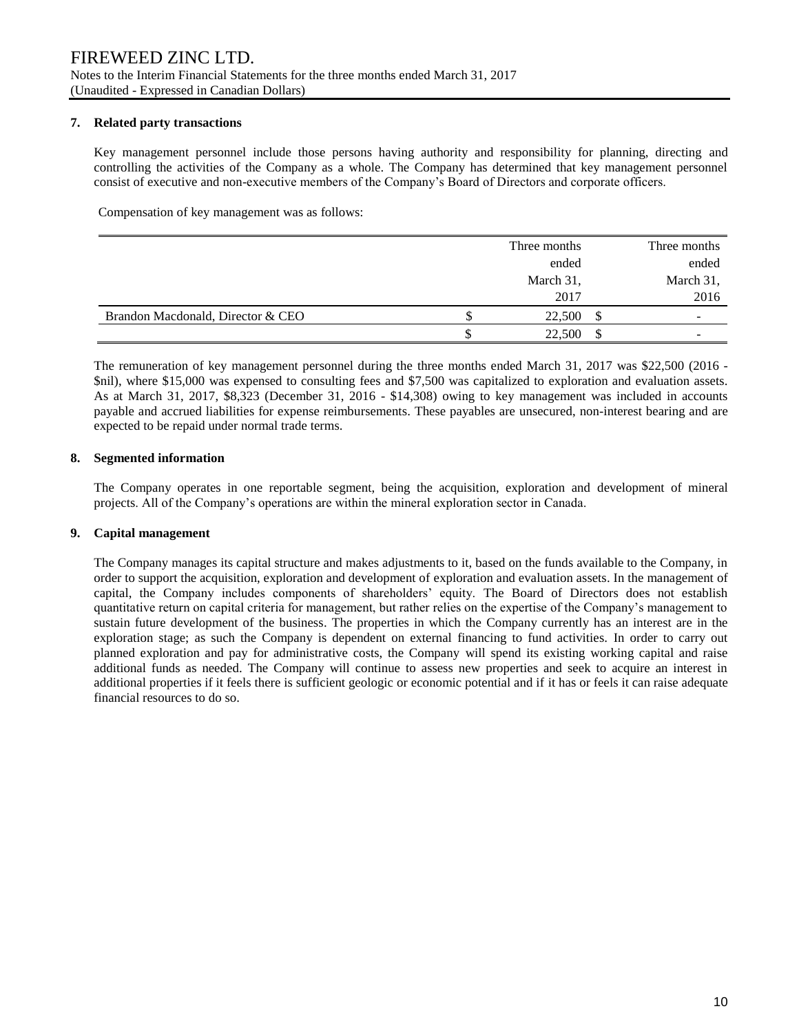### **7. Related party transactions**

Key management personnel include those persons having authority and responsibility for planning, directing and controlling the activities of the Company as a whole. The Company has determined that key management personnel consist of executive and non-executive members of the Company's Board of Directors and corporate officers.

Compensation of key management was as follows:

|                                   |   | Three months | Three months             |
|-----------------------------------|---|--------------|--------------------------|
|                                   |   | ended        | ended                    |
|                                   |   | March 31,    | March 31,                |
|                                   |   | 2017         | 2016                     |
| Brandon Macdonald, Director & CEO | Ф | 22,500       | \$                       |
|                                   |   | 22,500       | $\overline{\phantom{a}}$ |

The remuneration of key management personnel during the three months ended March 31, 2017 was \$22,500 (2016 - \$nil), where \$15,000 was expensed to consulting fees and \$7,500 was capitalized to exploration and evaluation assets. As at March 31, 2017, \$8,323 (December 31, 2016 - \$14,308) owing to key management was included in accounts payable and accrued liabilities for expense reimbursements. These payables are unsecured, non-interest bearing and are expected to be repaid under normal trade terms.

## **8. Segmented information**

The Company operates in one reportable segment, being the acquisition, exploration and development of mineral projects. All of the Company's operations are within the mineral exploration sector in Canada.

## **9. Capital management**

The Company manages its capital structure and makes adjustments to it, based on the funds available to the Company, in order to support the acquisition, exploration and development of exploration and evaluation assets. In the management of capital, the Company includes components of shareholders' equity. The Board of Directors does not establish quantitative return on capital criteria for management, but rather relies on the expertise of the Company's management to sustain future development of the business. The properties in which the Company currently has an interest are in the exploration stage; as such the Company is dependent on external financing to fund activities. In order to carry out planned exploration and pay for administrative costs, the Company will spend its existing working capital and raise additional funds as needed. The Company will continue to assess new properties and seek to acquire an interest in additional properties if it feels there is sufficient geologic or economic potential and if it has or feels it can raise adequate financial resources to do so.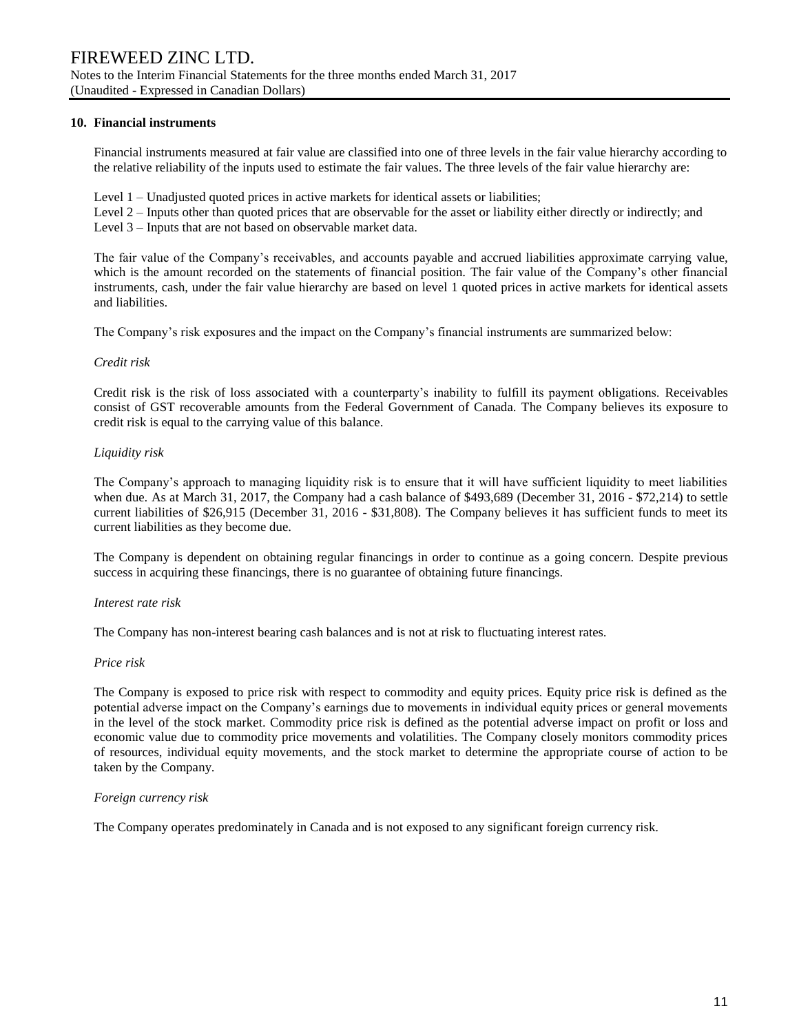#### **10. Financial instruments**

Financial instruments measured at fair value are classified into one of three levels in the fair value hierarchy according to the relative reliability of the inputs used to estimate the fair values. The three levels of the fair value hierarchy are:

- Level 1 Unadjusted quoted prices in active markets for identical assets or liabilities;
- Level 2 Inputs other than quoted prices that are observable for the asset or liability either directly or indirectly; and
- Level 3 Inputs that are not based on observable market data.

The fair value of the Company's receivables, and accounts payable and accrued liabilities approximate carrying value, which is the amount recorded on the statements of financial position. The fair value of the Company's other financial instruments, cash, under the fair value hierarchy are based on level 1 quoted prices in active markets for identical assets and liabilities.

The Company's risk exposures and the impact on the Company's financial instruments are summarized below:

#### *Credit risk*

Credit risk is the risk of loss associated with a counterparty's inability to fulfill its payment obligations. Receivables consist of GST recoverable amounts from the Federal Government of Canada. The Company believes its exposure to credit risk is equal to the carrying value of this balance.

## *Liquidity risk*

The Company's approach to managing liquidity risk is to ensure that it will have sufficient liquidity to meet liabilities when due. As at March 31, 2017, the Company had a cash balance of \$493,689 (December 31, 2016 - \$72,214) to settle current liabilities of \$26,915 (December 31, 2016 - \$31,808). The Company believes it has sufficient funds to meet its current liabilities as they become due.

The Company is dependent on obtaining regular financings in order to continue as a going concern. Despite previous success in acquiring these financings, there is no guarantee of obtaining future financings.

#### *Interest rate risk*

The Company has non-interest bearing cash balances and is not at risk to fluctuating interest rates.

#### *Price risk*

The Company is exposed to price risk with respect to commodity and equity prices. Equity price risk is defined as the potential adverse impact on the Company's earnings due to movements in individual equity prices or general movements in the level of the stock market. Commodity price risk is defined as the potential adverse impact on profit or loss and economic value due to commodity price movements and volatilities. The Company closely monitors commodity prices of resources, individual equity movements, and the stock market to determine the appropriate course of action to be taken by the Company.

#### *Foreign currency risk*

The Company operates predominately in Canada and is not exposed to any significant foreign currency risk.